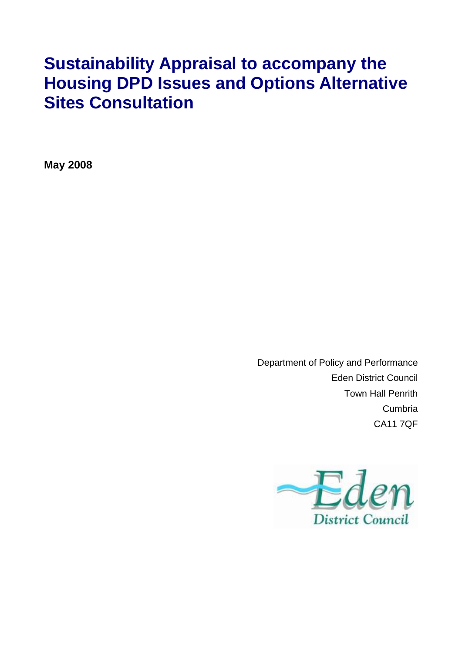# **Sustainability Appraisal to accompany the Housing DPD Issues and Options Alternative Sites Consultation**

**May 2008** 

Department of Policy and Performance Eden District Council Town Hall Penrith Cumbria CA11 7QF

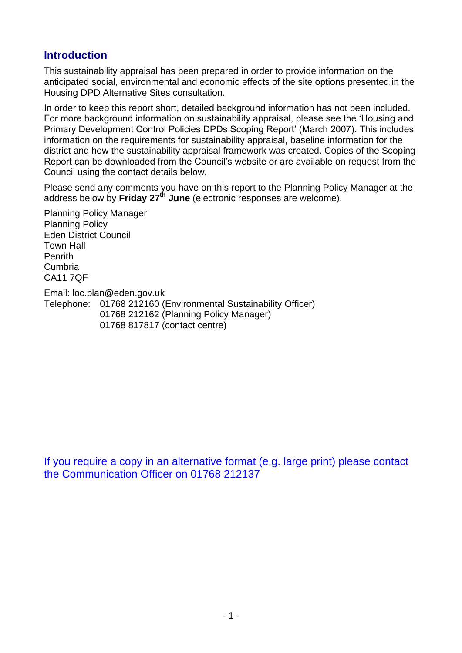#### **Introduction**

This sustainability appraisal has been prepared in order to provide information on the anticipated social, environmental and economic effects of the site options presented in the Housing DPD Alternative Sites consultation.

In order to keep this report short, detailed background information has not been included. For more background information on sustainability appraisal, please see the 'Housing and Primary Development Control Policies DPDs Scoping Report' (March 2007). This includes information on the requirements for sustainability appraisal, baseline information for the district and how the sustainability appraisal framework was created. Copies of the Scoping Report can be downloaded from the Council's website or are available on request from the Council using the contact details below.

Please send any comments you have on this report to the Planning Policy Manager at the address below by **Friday 27th June** (electronic responses are welcome).

Planning Policy Manager Planning Policy Eden District Council Town Hall Penrith Cumbria CA11 7QF

Email: loc.plan@eden.gov.uk

Telephone: 01768 212160 (Environmental Sustainability Officer) 01768 212162 (Planning Policy Manager) 01768 817817 (contact centre)

If you require a copy in an alternative format (e.g. large print) please contact the Communication Officer on 01768 212137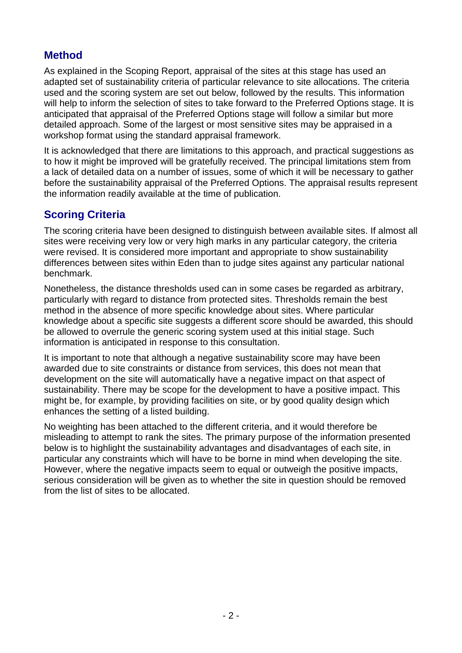#### **Method**

As explained in the Scoping Report, appraisal of the sites at this stage has used an adapted set of sustainability criteria of particular relevance to site allocations. The criteria used and the scoring system are set out below, followed by the results. This information will help to inform the selection of sites to take forward to the Preferred Options stage. It is anticipated that appraisal of the Preferred Options stage will follow a similar but more detailed approach. Some of the largest or most sensitive sites may be appraised in a workshop format using the standard appraisal framework.

It is acknowledged that there are limitations to this approach, and practical suggestions as to how it might be improved will be gratefully received. The principal limitations stem from a lack of detailed data on a number of issues, some of which it will be necessary to gather before the sustainability appraisal of the Preferred Options. The appraisal results represent the information readily available at the time of publication.

### **Scoring Criteria**

The scoring criteria have been designed to distinguish between available sites. If almost all sites were receiving very low or very high marks in any particular category, the criteria were revised. It is considered more important and appropriate to show sustainability differences between sites within Eden than to judge sites against any particular national benchmark.

Nonetheless, the distance thresholds used can in some cases be regarded as arbitrary, particularly with regard to distance from protected sites. Thresholds remain the best method in the absence of more specific knowledge about sites. Where particular knowledge about a specific site suggests a different score should be awarded, this should be allowed to overrule the generic scoring system used at this initial stage. Such information is anticipated in response to this consultation.

It is important to note that although a negative sustainability score may have been awarded due to site constraints or distance from services, this does not mean that development on the site will automatically have a negative impact on that aspect of sustainability. There may be scope for the development to have a positive impact. This might be, for example, by providing facilities on site, or by good quality design which enhances the setting of a listed building.

No weighting has been attached to the different criteria, and it would therefore be misleading to attempt to rank the sites. The primary purpose of the information presented below is to highlight the sustainability advantages and disadvantages of each site, in particular any constraints which will have to be borne in mind when developing the site. However, where the negative impacts seem to equal or outweigh the positive impacts, serious consideration will be given as to whether the site in question should be removed from the list of sites to be allocated.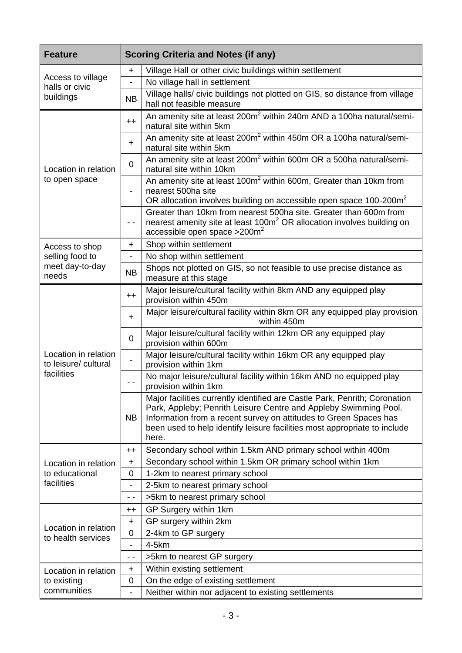| <b>Feature</b>                               |                          | <b>Scoring Criteria and Notes (if any)</b>                                                                                                                                                                                                                                                                |
|----------------------------------------------|--------------------------|-----------------------------------------------------------------------------------------------------------------------------------------------------------------------------------------------------------------------------------------------------------------------------------------------------------|
|                                              | +                        | Village Hall or other civic buildings within settlement                                                                                                                                                                                                                                                   |
| Access to village<br>halls or civic          | $\overline{\phantom{0}}$ | No village hall in settlement                                                                                                                                                                                                                                                                             |
| buildings                                    | <b>NB</b>                | Village halls/ civic buildings not plotted on GIS, so distance from village<br>hall not feasible measure                                                                                                                                                                                                  |
|                                              | $++$                     | An amenity site at least 200m <sup>2</sup> within 240m AND a 100ha natural/semi-<br>natural site within 5km                                                                                                                                                                                               |
|                                              | $\pm$                    | An amenity site at least 200m <sup>2</sup> within 450m OR a 100ha natural/semi-<br>natural site within 5km                                                                                                                                                                                                |
| Location in relation                         | $\overline{0}$           | An amenity site at least 200m <sup>2</sup> within 600m OR a 500ha natural/semi-<br>natural site within 10km                                                                                                                                                                                               |
| to open space                                |                          | An amenity site at least 100m <sup>2</sup> within 600m, Greater than 10km from<br>nearest 500ha site<br>OR allocation involves building on accessible open space 100-200m <sup>2</sup>                                                                                                                    |
|                                              | $ -$                     | Greater than 10km from nearest 500ha site. Greater than 600m from<br>nearest amenity site at least 100m <sup>2</sup> OR allocation involves building on<br>accessible open space $>200$ m <sup>2</sup>                                                                                                    |
| Access to shop                               | +                        | Shop within settlement                                                                                                                                                                                                                                                                                    |
| selling food to                              |                          | No shop within settlement                                                                                                                                                                                                                                                                                 |
| meet day-to-day<br>needs                     | <b>NB</b>                | Shops not plotted on GIS, so not feasible to use precise distance as<br>measure at this stage                                                                                                                                                                                                             |
|                                              | $++$                     | Major leisure/cultural facility within 8km AND any equipped play<br>provision within 450m                                                                                                                                                                                                                 |
|                                              | $\ddot{}$                | Major leisure/cultural facility within 8km OR any equipped play provision<br>within 450m                                                                                                                                                                                                                  |
|                                              | 0                        | Major leisure/cultural facility within 12km OR any equipped play<br>provision within 600m                                                                                                                                                                                                                 |
| Location in relation<br>to leisure/ cultural |                          | Major leisure/cultural facility within 16km OR any equipped play<br>provision within 1km                                                                                                                                                                                                                  |
| facilities                                   | $ -$                     | No major leisure/cultural facility within 16km AND no equipped play<br>provision within 1km                                                                                                                                                                                                               |
|                                              | <b>NB</b>                | Major facilities currently identified are Castle Park, Penrith; Coronation<br>Park, Appleby; Penrith Leisure Centre and Appleby Swimming Pool.<br>Information from a recent survey on attitudes to Green Spaces has<br>been used to help identify leisure facilities most appropriate to include<br>here. |
|                                              | $^{\mathrm{+}}$          | Secondary school within 1.5km AND primary school within 400m                                                                                                                                                                                                                                              |
| Location in relation                         | $\ddot{}$                | Secondary school within 1.5km OR primary school within 1km                                                                                                                                                                                                                                                |
| to educational                               | 0                        | 1-2km to nearest primary school                                                                                                                                                                                                                                                                           |
| facilities                                   |                          | 2-5km to nearest primary school                                                                                                                                                                                                                                                                           |
|                                              | $\sim$ $\sim$            | >5km to nearest primary school                                                                                                                                                                                                                                                                            |
|                                              | $^{\mathrm{+}}$          | GP Surgery within 1km                                                                                                                                                                                                                                                                                     |
| Location in relation                         | $\ddot{}$                | GP surgery within 2km                                                                                                                                                                                                                                                                                     |
| to health services                           | 0                        | 2-4km to GP surgery                                                                                                                                                                                                                                                                                       |
|                                              |                          | $4-5km$                                                                                                                                                                                                                                                                                                   |
|                                              | - -                      | >5km to nearest GP surgery                                                                                                                                                                                                                                                                                |
| Location in relation                         | +                        | Within existing settlement                                                                                                                                                                                                                                                                                |
| to existing<br>communities                   | 0                        | On the edge of existing settlement                                                                                                                                                                                                                                                                        |
|                                              | $\overline{\phantom{0}}$ | Neither within nor adjacent to existing settlements                                                                                                                                                                                                                                                       |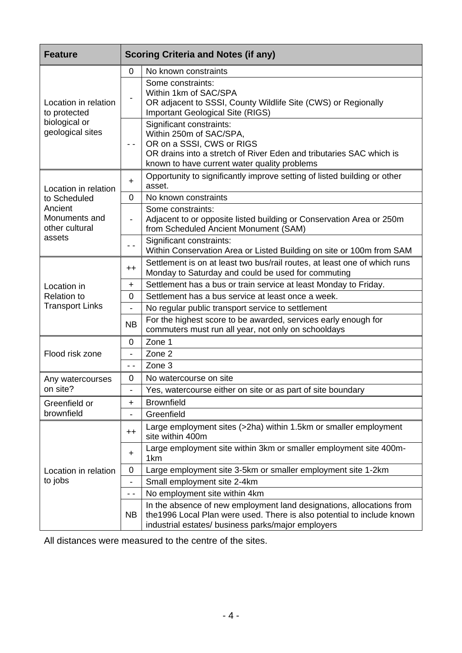| <b>Feature</b>                             |                          | <b>Scoring Criteria and Notes (if any)</b>                                                                                                                                                              |
|--------------------------------------------|--------------------------|---------------------------------------------------------------------------------------------------------------------------------------------------------------------------------------------------------|
|                                            | 0                        | No known constraints                                                                                                                                                                                    |
| Location in relation<br>to protected       |                          | Some constraints:<br>Within 1km of SAC/SPA<br>OR adjacent to SSSI, County Wildlife Site (CWS) or Regionally<br><b>Important Geological Site (RIGS)</b>                                                  |
| biological or<br>geological sites          | $ -$                     | Significant constraints:<br>Within 250m of SAC/SPA,<br>OR on a SSSI, CWS or RIGS<br>OR drains into a stretch of River Eden and tributaries SAC which is<br>known to have current water quality problems |
| Location in relation                       | $+$                      | Opportunity to significantly improve setting of listed building or other<br>asset.                                                                                                                      |
| to Scheduled                               | 0                        | No known constraints                                                                                                                                                                                    |
| Ancient<br>Monuments and<br>other cultural |                          | Some constraints:<br>Adjacent to or opposite listed building or Conservation Area or 250m<br>from Scheduled Ancient Monument (SAM)                                                                      |
| assets                                     | - -                      | Significant constraints:<br>Within Conservation Area or Listed Building on site or 100m from SAM                                                                                                        |
|                                            | $^{\mathrm{+}}$          | Settlement is on at least two bus/rail routes, at least one of which runs<br>Monday to Saturday and could be used for commuting                                                                         |
| Location in                                | $\pm$                    | Settlement has a bus or train service at least Monday to Friday.                                                                                                                                        |
| <b>Relation to</b>                         | 0                        | Settlement has a bus service at least once a week.                                                                                                                                                      |
| <b>Transport Links</b>                     | $\overline{\phantom{0}}$ | No regular public transport service to settlement                                                                                                                                                       |
|                                            | <b>NB</b>                | For the highest score to be awarded, services early enough for<br>commuters must run all year, not only on schooldays                                                                                   |
|                                            | 0                        | Zone 1                                                                                                                                                                                                  |
| Flood risk zone                            |                          | Zone 2                                                                                                                                                                                                  |
|                                            | $ -$                     | Zone 3                                                                                                                                                                                                  |
| Any watercourses                           | 0                        | No watercourse on site                                                                                                                                                                                  |
| on site?                                   |                          | Yes, watercourse either on site or as part of site boundary                                                                                                                                             |
| Greenfield or                              | +                        | <b>Brownfield</b>                                                                                                                                                                                       |
| brownfield                                 |                          | Greenfield                                                                                                                                                                                              |
|                                            | $^{\mathrm{+}}$          | Large employment sites (>2ha) within 1.5km or smaller employment<br>site within 400m                                                                                                                    |
|                                            | $\ddot{}$                | Large employment site within 3km or smaller employment site 400m-<br>1 <sub>km</sub>                                                                                                                    |
| Location in relation                       | 0                        | Large employment site 3-5km or smaller employment site 1-2km                                                                                                                                            |
| to jobs                                    | -                        | Small employment site 2-4km                                                                                                                                                                             |
|                                            | - -                      | No employment site within 4km                                                                                                                                                                           |
|                                            | <b>NB</b>                | In the absence of new employment land designations, allocations from<br>the 1996 Local Plan were used. There is also potential to include known<br>industrial estates/ business parks/major employers   |

All distances were measured to the centre of the sites.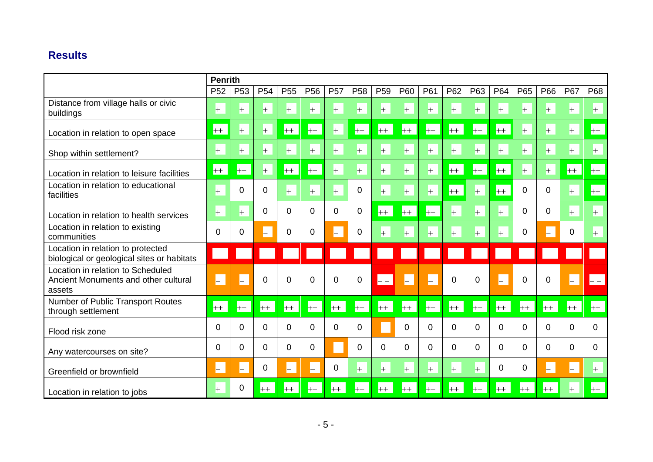## **Results**

|                                                                                     | <b>Penrith</b>           |                 |                 |                 |                 |                 |                 |                 |               |                      |                            |              |              |                |              |          |        |
|-------------------------------------------------------------------------------------|--------------------------|-----------------|-----------------|-----------------|-----------------|-----------------|-----------------|-----------------|---------------|----------------------|----------------------------|--------------|--------------|----------------|--------------|----------|--------|
|                                                                                     | P <sub>52</sub>          | P <sub>53</sub> | P <sub>54</sub> | P <sub>55</sub> | P <sub>56</sub> | P <sub>57</sub> | P <sub>58</sub> | P <sub>59</sub> | P60           | P61                  | P62                        | P63          | P64          | P65            | P66          | P67      | P68    |
| Distance from village halls or civic<br>buildings                                   | $+$                      | $+$             | $^{+}$          | $+$             | $+$             | $+$             | $+$             | $+$             | $+$           | $+$                  | $+$                        | $+$          | $+$          | $+$            | $+$          | $+$      | $+$    |
| Location in relation to open space                                                  | $++$                     | $+$             | $+$             | $+$             | $++$            | $+$             | $++$            | $++$            | $+$           | $+$                  | $+$                        | $+$          | $+$          | $+$            | $+$          | $+$      | $+ +$  |
| Shop within settlement?                                                             | $+$                      | $+$             | $+$             | $+$             | $+$             | $+$             | $+$             | $+$             | $+$           | $+$                  | $+$                        | $+$          | $+$          | $+$            | $+$          | $+$      | $+$    |
| Location in relation to leisure facilities                                          | $++$                     | $+$             | $+$             | $++$            | $++$            | $+$             | $+$             | $+$             | $+$           | $+$                  | $+$                        | $+$          | $+$          | $+$            | $+$          | $++$     | $+$    |
| Location in relation to educational<br>facilities                                   | $^{+}$                   | $\mathbf 0$     | $\mathbf 0$     | $+$             | $+$             | $+$             | 0               | $+$             | $+$           | $+$                  | $+$                        | $+$          | $+$          | 0              | 0            | $+$      | $++$   |
| Location in relation to health services                                             | $+$                      | $+$             | 0               | 0               | $\mathbf 0$     | $\overline{0}$  | $\overline{0}$  | $++$            | $+$           | $++$                 | $\pm$                      | $+$          | $+$          | $\overline{0}$ | $\mathbf 0$  | $+$      | $^{+}$ |
| Location in relation to existing<br>communities                                     | 0                        | 0               | -               | 0               | 0               | ⊢               | 0               | $+$             | $+$           | $+$                  | $+$                        | $+$          | $+$          | 0              | H            | 0        | $+$    |
| Location in relation to protected<br>biological or geological sites or habitats     | $\vdash$ $-$             | $ -$            | $- -$           | $- -$           | $- -$           | $\mathbf{I}$    | $\vdash$ $-$    | $- -$           | $\mathbf{--}$ | $\left  - - \right $ | $\overline{\phantom{a}}$ – | $\vdash$ $-$ | $\mathbf{L}$ | $\mathbf{L}$   | $\vdash$ $-$ | $- -$    |        |
| Location in relation to Scheduled<br>Ancient Monuments and other cultural<br>assets | $\overline{\phantom{0}}$ | H               | $\Omega$        | 0               | $\Omega$        | 0               | $\Omega$        | $ -$            | $\vdash$      |                      | 0                          | 0            | H            | 0              | 0            | -        | $ -$   |
| Number of Public Transport Routes<br>through settlement                             | $++$                     | $+$             | $++$            | $+$             | $++$            | $+$             | $++$            | $++$            | $++$          | $+ +$                | $+$                        | $+ +$        | $+$          | $+ +$          | $+$          | $++$     | $+$    |
| Flood risk zone                                                                     | 0                        | 0               | $\Omega$        | 0               | 0               | 0               | 0               | $\vdash$        | 0             | 0                    | 0                          | $\mathbf 0$  | 0            | 0              | $\Omega$     | $\Omega$ | 0      |
| Any watercourses on site?                                                           | 0                        | $\Omega$        | $\Omega$        | $\Omega$        | $\Omega$        | H               | $\Omega$        | 0               | $\Omega$      | 0                    | $\Omega$                   | $\Omega$     | $\Omega$     | $\Omega$       | $\Omega$     | $\Omega$ | 0      |
| Greenfield or brownfield                                                            | $\vdash$                 | $\vdash$        | 0               | ⊢               | Н.              | 0               | $+$             | $+$             | $+$           | $+$                  | $+$                        | $+$          | 0            | $\mathbf 0$    | H.           | $\vdash$ | $+$    |
| Location in relation to jobs                                                        | $^{+}$                   | 0               | $+ +$           | $+$             | $++$            | $++$            | $++$            | $++$            | $+$           | $++$                 | $+$                        | $++$         | $++$         | $++$           | $++$         | $+$      | $++$   |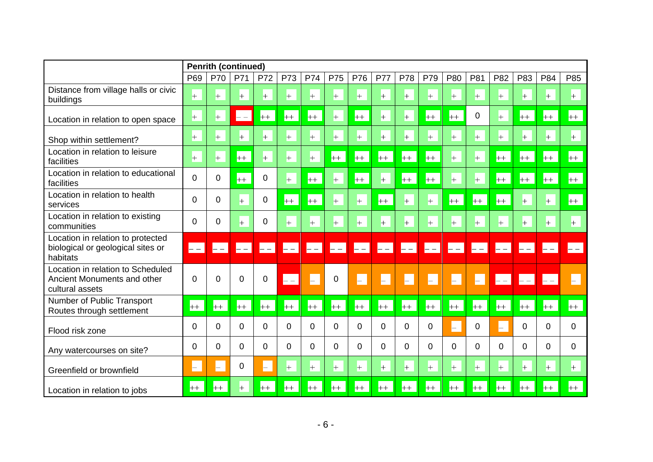|                                                                                     |                 | <b>Penrith (continued)</b> |                     |                              |                      |                          |                       |                           |                |                |              |                 |          |              |                                                                                             |          |          |
|-------------------------------------------------------------------------------------|-----------------|----------------------------|---------------------|------------------------------|----------------------|--------------------------|-----------------------|---------------------------|----------------|----------------|--------------|-----------------|----------|--------------|---------------------------------------------------------------------------------------------|----------|----------|
|                                                                                     | P <sub>69</sub> | P70                        | P71                 | P72                          | P73                  | <b>P74</b>               | P75                   | P76                       | <b>P77</b>     | P78            | P79          | P80             | P81      | P82          | P83                                                                                         | P84      | P85      |
| Distance from village halls or civic<br>buildings                                   | $+$             | $+$                        | $+$                 | $+$                          | $+$                  | $+$                      | $+$                   | $+$                       | $+$            | $+$            | $+$          | $+$             | $+$      | $+$          | $+$                                                                                         | $+$      | $+$      |
| Location in relation to open space                                                  | $+$             | $+$                        | $\mathrel{{-}}$ $-$ | $+$                          | $++$                 | $++$                     | $+$                   | $++$                      | $+$            | $^{+}$         | $+$          | $+$             | 0        | $+$          | $+$                                                                                         | $+$      | $++$     |
| Shop within settlement?                                                             | $+$             | $+$                        | $+$                 | $+$                          | $+$                  | $+$                      | $+$                   | $+$                       | $+$            | $+$            | $+$          | $+$             | $+$      | $+$          | $+$                                                                                         | $+$      | $+$      |
| Location in relation to leisure<br>facilities                                       | $+$             | $+$                        | $++$                | $+$                          | $+$                  | $+$                      | $+$                   | $++$                      | $+$            | $+$            | $++$         | $+$             | $+$      | $++$         | $++$                                                                                        | $+$      | $++$     |
| Location in relation to educational<br>facilities                                   | $\overline{0}$  | 0                          | $+$                 | $\mathbf 0$                  | $+$                  | $+$                      | $+$                   | $+$                       | $+$            | $+$            | $+$          | $+$             | $+$      | $+$          | $+$                                                                                         | $+$      | $+$      |
| Location in relation to health<br>services                                          | $\Omega$        | 0                          | $+$                 | $\mathbf 0$                  | $+$                  | $++$                     | $+$                   | $+$                       | $+$            | $+$            | $+$          | $++$            | $++$     | $++$         | $+$                                                                                         | $+$      | $++$     |
| Location in relation to existing<br>communities                                     | $\Omega$        | 0                          | $+$                 | $\pmb{0}$                    | $+$                  | $+$                      | $+$                   | $+$                       | $+$            | $+$            | $+$          | $+$             | $+$      | $+$          | $+$                                                                                         | $+$      | $+$      |
| Location in relation to protected<br>biological or geological sites or<br>habitats  | $\mathbf{L}$    | $\left  - - \right $       | $\mathbf{L}$        | $\blacksquare-\mathbin\Vert$ | $\left  - - \right $ | $\left  - - \right $     | $\boxed{\phantom{1}}$ | $\left\vert -\right\vert$ | $-$            | $\mathbf{L}$   | $\mathbf{L}$ | $\vert - \vert$ | $- -$    | $\mathbf{L}$ | $\mathord{\hspace{1pt}\text{--}\hspace{1pt}}$ $\mathord{\hspace{1pt}\text{--}\hspace{1pt}}$ |          | $=$ $-$  |
| Location in relation to Scheduled<br>Ancient Monuments and other<br>cultural assets | $\Omega$        | $\Omega$                   | $\Omega$            | $\mathbf 0$                  | $\vdash$ $-$         | $\overline{\phantom{0}}$ | 0                     | $\vdash$                  | H              | -              | H            | $\vdash$        | H        | $- -$        | $ -$                                                                                        | $- -$    |          |
| Number of Public Transport<br>Routes through settlement                             | $+$             | $+$                        | $+$                 | $+$                          | $+$                  | $++$                     | $+$                   | $++$                      | $+$            | $+$            | $+$          | $++$            | $+$      | $++$         | $+$                                                                                         | $+$      | $+$      |
| Flood risk zone                                                                     | $\overline{0}$  | $\Omega$                   | $\Omega$            | $\overline{0}$               | $\overline{0}$       | $\Omega$                 | 0                     | $\overline{0}$            | $\overline{0}$ | $\overline{0}$ | 0            | H               | 0        |              | 0                                                                                           | $\Omega$ | $\Omega$ |
| Any watercourses on site?                                                           | $\Omega$        | $\Omega$                   | 0                   | $\overline{0}$               | $\Omega$             | 0                        | 0                     | $\Omega$                  | $\Omega$       | 0              | $\Omega$     | 0               | $\Omega$ | 0            | $\mathbf 0$                                                                                 | $\Omega$ | 0        |
| Greenfield or brownfield                                                            | ⊢               | $\overline{\phantom{0}}$   | 0                   | $\vdash$                     | $+$                  | $+$                      | $+$                   | $+$                       | $+$            | $+$            | $+$          | $+$             | $+$      | $+$          | $+$                                                                                         | $+$      | $+$      |
| Location in relation to jobs                                                        | $+$             | $++$                       | $^{+}$              | $++$                         | $++$                 | $++$                     | $+$                   | $++$                      | $+$            | $+$            | $++$         | $++$            | $++$     | $++$         | $+$                                                                                         | $++$     | $++$     |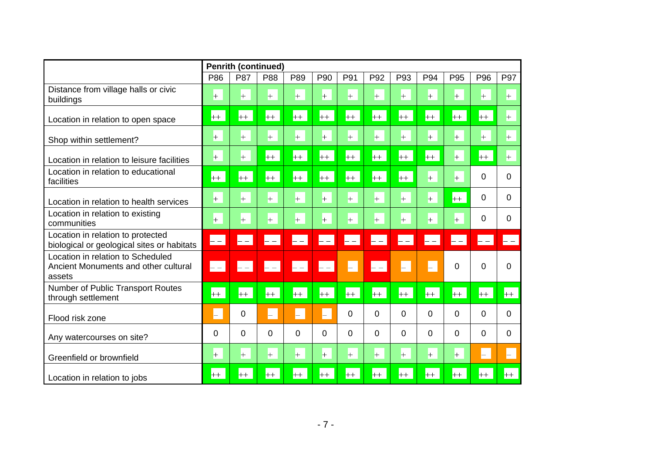|                                                                                     |          | <b>Penrith (continued)</b> |      |              |                                                                                             |                      |                                                                                             |              |          |                                                                                             |          |                |
|-------------------------------------------------------------------------------------|----------|----------------------------|------|--------------|---------------------------------------------------------------------------------------------|----------------------|---------------------------------------------------------------------------------------------|--------------|----------|---------------------------------------------------------------------------------------------|----------|----------------|
|                                                                                     | P86      | P87                        | P88  | P89          | P90                                                                                         | P91                  | P92                                                                                         | P93          | P94      | P95                                                                                         | P96      | P97            |
| Distance from village halls or civic<br>buildings                                   | $+$      | $+$                        | $+$  | $+$          | $+$                                                                                         | $+$                  | $+$                                                                                         | $+$          | $+$      | $+$                                                                                         | $+$      | $+$            |
| Location in relation to open space                                                  | $+$      | $+$                        | $+$  | $+$          | $+$                                                                                         | $+$                  | $+$                                                                                         | $+$          | $+$      | $+$                                                                                         | $+$      | $+$            |
| Shop within settlement?                                                             | $+$      | $+$                        | $+$  | $+$          | $+$                                                                                         | $+$                  | $+$                                                                                         | $+$          | $+$      | $+$                                                                                         | $+$      | $+$            |
| Location in relation to leisure facilities                                          | $+$      | $+$                        | $++$ | $+$          | $++$                                                                                        | $++$                 | $+$                                                                                         | $+$          | $+$      | $+$                                                                                         | $+$      | $+$            |
| Location in relation to educational<br>facilities                                   | $++$     | $+$                        | $+$  | $+$          | $+$                                                                                         | $+$                  | $++$                                                                                        | $++$         | $+$      | $+$                                                                                         | $\Omega$ | $\Omega$       |
| Location in relation to health services                                             | $+$      | $+$                        | $+$  | $+$          | $+$                                                                                         | $+$                  | $+$                                                                                         | $+$          | $+$      | $+$                                                                                         | $\Omega$ | $\overline{0}$ |
| Location in relation to existing<br>communities                                     | $+$      | $+$                        | $+$  | $+$          | $+$                                                                                         | $+$                  | $+$                                                                                         | $+$          | $+$      | $+$                                                                                         | $\Omega$ | 0              |
| Location in relation to protected<br>biological or geological sites or habitats     | $ -$     | $- -$                      | $ -$ | $\vdash$ $-$ | $\vdash$ $-$                                                                                | $\left  - - \right $ | $\mathord{\hspace{1pt}\text{--}\hspace{1pt}}$ $\mathord{\hspace{1pt}\text{--}\hspace{1pt}}$ | $\vdash$ $-$ | $ -$     | $\mathord{\hspace{1pt}\text{--}\hspace{1pt}}$ $\mathord{\hspace{1pt}\text{--}\hspace{1pt}}$ | $ -$     | $- -$          |
| Location in relation to Scheduled<br>Ancient Monuments and other cultural<br>assets | $- -$    | $- -$                      | $ -$ | $\vdash$ $-$ | $\mathord{\hspace{1pt}\text{--}\hspace{1pt}}$ $\mathord{\hspace{1pt}\text{--}\hspace{1pt}}$ | H.                   | $ -$                                                                                        | H            | $\vdash$ | $\Omega$                                                                                    | $\Omega$ | $\Omega$       |
| Number of Public Transport Routes<br>through settlement                             | $++$     | $++$                       | $++$ | $++$         | $++$                                                                                        | $++$                 | $++$                                                                                        | $++$         | $++$     | $+$                                                                                         | $+ +$    | $+$            |
| Flood risk zone                                                                     |          | 0                          | H.   | $\vdash$     | H.                                                                                          | 0                    | 0                                                                                           | 0            | 0        | $\overline{0}$                                                                              | $\Omega$ | $\Omega$       |
| Any watercourses on site?                                                           | $\Omega$ | 0                          | 0    | $\Omega$     | $\Omega$                                                                                    | $\Omega$             | 0                                                                                           | $\Omega$     | 0        | $\Omega$                                                                                    | $\Omega$ | $\Omega$       |
| Greenfield or brownfield                                                            | $+$      | $+$                        | $+$  | $+$          | $+$                                                                                         | $+$                  | $+$                                                                                         | $+$          | $+$      | $+$                                                                                         | ⊢        | ⊢              |
| Location in relation to jobs                                                        | $+ +$    | $+ +$                      | $++$ | $++$         | $++$                                                                                        | $++$                 | $++$                                                                                        | $+$          | $++$     | $+ +$                                                                                       | $+ +$    | $++$           |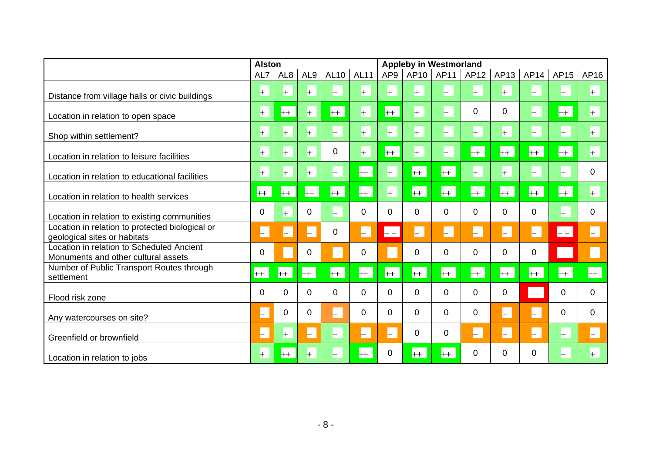|                                                                                  | <b>Alston</b> |                          |                 |                |                |                 | <b>Appleby in Westmorland</b> |                |      |          |          |          |          |
|----------------------------------------------------------------------------------|---------------|--------------------------|-----------------|----------------|----------------|-----------------|-------------------------------|----------------|------|----------|----------|----------|----------|
|                                                                                  | AL7           | AL <sub>8</sub>          | AL <sub>9</sub> | <b>AL10</b>    | <b>AL11</b>    | AP <sub>9</sub> | AP10                          | AP11           | AP12 | AP13     | AP14     | AP15     | AP16     |
| Distance from village halls or civic buildings                                   | $+$           | $+$                      | $+$             | $+$            | $+$            | $+$             | $+$                           | $+$            | $+$  | $+$      | $+$      | $+$      | $+$      |
| Location in relation to open space                                               | $+$           | $++$                     | $^{+}$          | $++$           | $+$            | $++$            | $+$                           | $+$            | 0    | 0        | $+$      | $+$      | $+$      |
| Shop within settlement?                                                          | $+$           | $+$                      | $+$             | $+$            | $+$            | $+$             | $\left  + \right $            | $+$            | $+$  | $+$      | $+$      | $+$      | $+$      |
| Location in relation to leisure facilities                                       | $+$           | $+$                      | $+$             | $\overline{0}$ | $+$            | $+$             | $+$                           | $+$            | $+$  | $+$      | $+$      | $+$      | $+$      |
| Location in relation to educational facilities                                   | $+$           | $+$                      | $+$             | $+$            | $+$            | $+$             | $+$                           | $+$            | $+$  | $+$      | $+$      | $+$      | 0        |
| Location in relation to health services                                          | $+$           | $++$                     | $++$            | $+$            | $+$            | $+$             | $+$                           | $++$           | $++$ | $+$      | $+$      | $+$      | $+$      |
| Location in relation to existing communities                                     | 0             | $+$                      | 0               | $+$            | $\mathbf 0$    | $\Omega$        | 0                             | 0              | 0    | 0        | 0        | $+$      | 0        |
| Location in relation to protected biological or<br>geological sites or habitats  | ۳             | Н.                       | H               | $\mathbf 0$    | H              | $\mathbf{--}$   | H                             | H.             | H    | Н.       | $\vdash$ | $- -$    | H.       |
| Location in relation to Scheduled Ancient<br>Monuments and other cultural assets | 0             | $\overline{\phantom{0}}$ | 0               | $\vdash$       | 0              | $\vdash$        | 0                             | $\overline{0}$ | 0    | $\Omega$ | 0        | $- -$    | H.       |
| Number of Public Transport Routes through<br>settlement                          | $++$          | $+$                      | $+$             | $+$            | $+$            | $+$             | $++$                          | $+$            | $+$  | $+$      | $+$      | $+$      | $+$      |
| Flood risk zone                                                                  | $\Omega$      | $\Omega$                 | $\Omega$        | $\Omega$       | $\overline{0}$ | $\Omega$        | $\Omega$                      | $\Omega$       | 0    | $\Omega$ | $- -$    | $\Omega$ | $\Omega$ |
| Any watercourses on site?                                                        | ⊢             | 0                        | 0               | $\vdash$       | $\mathbf 0$    | 0               | 0                             | 0              | 0    | ⊢        | $\vdash$ | $\Omega$ | $\Omega$ |
| Greenfield or brownfield                                                         | $\vdash$      | $+$                      | $\vdash$        | $+$            | $\vdash$       | $\vdash$        | 0                             | 0              | H    | Н.       | $\vdash$ | $+$      | $\vdash$ |
| Location in relation to jobs                                                     | $+$           | $+$                      | $+$             | $+$            | $+ +$          | 0               | $+$                           | $+$            | 0    | 0        | 0        | $+$      | $+$      |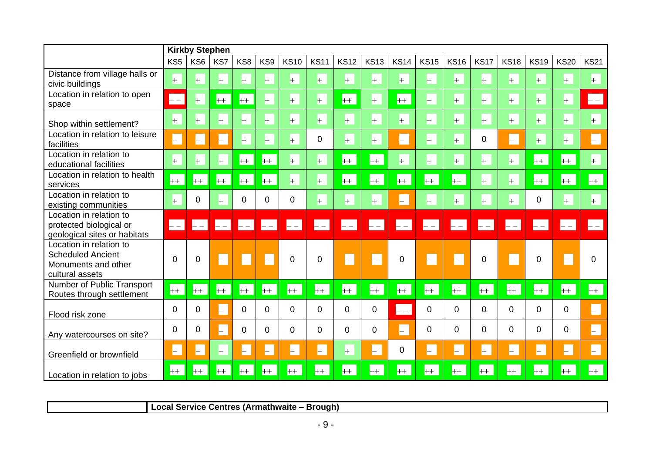|                                                                                               |                                           | <b>Kirkby Stephen</b> |                |                           |                |                |             |             |                |              |                           |             |                      |              |             |                          |                      |
|-----------------------------------------------------------------------------------------------|-------------------------------------------|-----------------------|----------------|---------------------------|----------------|----------------|-------------|-------------|----------------|--------------|---------------------------|-------------|----------------------|--------------|-------------|--------------------------|----------------------|
|                                                                                               | KS <sub>5</sub>                           | KS6                   | KS7            | KS8                       | KS9            | <b>KS10</b>    | <b>KS11</b> | <b>KS12</b> | <b>KS13</b>    | <b>KS14</b>  | <b>KS15</b>               | <b>KS16</b> | <b>KS17</b>          | <b>KS18</b>  | <b>KS19</b> | <b>KS20</b>              | <b>KS21</b>          |
| Distance from village halls or<br>civic buildings                                             | $\left  + \right $                        | $+$                   | $+$            | $+$                       | $+$            | $+$            | $+$         | $+$         | $+$            | $+$          | $+$                       | $+$         | $+$                  | $+$          | $+$         | $+$                      | $+$                  |
| Location in relation to open<br>space                                                         | $\mathrel{{\vdash}}$ $\mathrel{{\vdash}}$ | $+$                   | $+$            | $+$                       | $+$            | $+$            | $+$         | $+$         | $+$            | $+$          | $+$                       | $+$         | $+$                  | $+$          | $+$         | $+$                      | $\left  - - \right $ |
| Shop within settlement?                                                                       | $\pm$                                     | $^{+}$                | $+$            | $+$                       | $+$            | $+$            | $+$         | $+$         | $+$            | $+$          | $+$                       | $+$         | $\pm$                | $+$          | $+$         | $+$                      | $+$                  |
| Location in relation to leisure<br>facilities                                                 | H                                         | ⊢                     | Н              | $+$                       | $+$            | $+$            | $\mathbf 0$ | $+$         | $+$            | H            | $+$                       | $+$         | $\pmb{0}$            | $\vdash$     | $+$         | $^{+}$                   | H                    |
| Location in relation to<br>educational facilities                                             | $+$                                       | $+$                   | $+$            | $++$                      | $++$           | $+$            | $+$         | $++$        | $+$            | $+$          | $+$                       | $+$         | $\pm$                | $+$          | $+$         | $+$                      | $\left  + \right $   |
| Location in relation to health<br>services                                                    | $+$                                       | $++$                  | $++$           | $+$                       | $++$           | $+$            | $+$         | $++$        | $++$           | $+$          | $+$                       | $+$         | $+$                  | $+$          | $+$         | $+$                      | $+$                  |
| Location in relation to<br>existing communities                                               | $+$                                       | 0                     | $+$            | $\overline{0}$            | $\overline{0}$ | 0              | $+$         | $\pm$       | $+$            | H            | $+$                       | $+$         | $+$                  | $+$          | $\mathbf 0$ | $+$                      | $+$                  |
| Location in relation to<br>protected biological or<br>geological sites or habitats            | $- -$                                     | $- -$                 | $\mathsf{I}$ – | $\mathsf{L}$ $\mathsf{L}$ | $\blacksquare$ | $\mathsf{L}$ – | $- - 1$     | $-1$        | $- -$          | $\mathbf{L}$ | $\mathsf{L}$ $\mathsf{=}$ | $=$ $-$     | $\left  - - \right $ | $\mathbf{L}$ | $-1$        | $- -$                    | $= -$                |
| Location in relation to<br><b>Scheduled Ancient</b><br>Monuments and other<br>cultural assets | $\Omega$                                  | 0                     | $\vdash$       | $\vdash$                  | $\vdash$       | 0              | 0           | $\vdash$    | $\vdash$       | 0            | $\vdash$                  | $\vdash$    | $\mathbf 0$          | $\vdash$     | 0           |                          | 0                    |
| Number of Public Transport<br>Routes through settlement                                       | $++$                                      | $+$                   | $+ +$          | $+$                       | $++$           | $+$            | $+$         | $+$         | $++$           | $+$          | $+$                       | $++$        | $+$                  | $++$         | $+$         | $+$                      | $+$                  |
| Flood risk zone                                                                               | $\Omega$                                  | $\mathbf 0$           | $\vdash$       | $\Omega$                  | $\Omega$       | $\Omega$       | $\Omega$    | 0           | $\overline{0}$ | $-$          | $\Omega$                  | 0           | $\overline{0}$       | 0            | $\Omega$    | 0                        | H.                   |
| Any watercourses on site?                                                                     | 0                                         | 0                     | $\vdash$       | 0                         | 0              | 0              | $\mathbf 0$ | 0           | 0              | $\vdash$     | 0                         | 0           | $\mathbf 0$          | 0            | 0           | 0                        | H                    |
| Greenfield or brownfield                                                                      | H                                         | ⊢                     | $+$            | ⊢                         | $\vdash$       | ⊢              | $\vdash$    | $+$         | H.             | 0            | $\vdash$                  | $\vdash$    | H                    | H.           | $\vdash$    | $\overline{\phantom{0}}$ | H                    |
| Location in relation to jobs                                                                  | $+ +$                                     | $+$                   | $++$           | $++$                      | $++$           | $++$           | $+$         | $++$        | $+$            | $++$         | $+$                       | $+$         | $+$                  | $++$         | $+$         | $+$                      | $++$                 |

**Local Service Centres (Armathwaite – Brough)**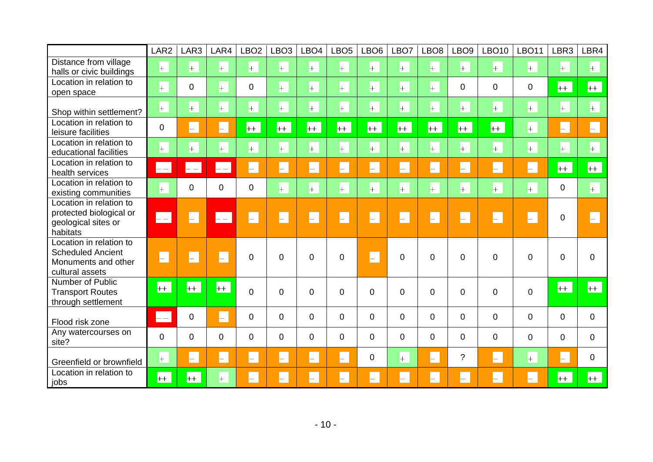|                                                                                               | LAR <sub>2</sub>    | LAR3           | LAR4               | LBO <sub>2</sub>   | LBO <sub>3</sub> | LBO <sub>4</sub> | LBO <sub>5</sub>   | LBO <sub>6</sub>   | LBO7               | LBO <sub>8</sub>   | LBO <sub>9</sub>         | <b>LBO10</b>       | <b>LBO11</b>       | LBR3           | LBR4           |
|-----------------------------------------------------------------------------------------------|---------------------|----------------|--------------------|--------------------|------------------|------------------|--------------------|--------------------|--------------------|--------------------|--------------------------|--------------------|--------------------|----------------|----------------|
| Distance from village<br>halls or civic buildings                                             | $+$                 | $+$            | $+$                | $+$                | $+$              | $+$              | $\left  + \right $ | $\left  + \right $ | $+$                | $+$                | $+$                      | $\left  + \right $ | $+$                | $+$            | $+$            |
| Location in relation to<br>open space                                                         | $\left  + \right $  | 0              | $+$                | $\overline{0}$     | $+$              | $+$              | $+$                | $\pm$              | $+$                | $\pm$              | $\mathbf 0$              | 0                  | $\mathbf 0$        | $+$            | $+$            |
| Shop within settlement?                                                                       | $+$                 | $+$            | $+$                | $+$                | $+$              | $+$              | $\left  + \right $ | $\left  + \right $ | $\left  + \right $ | $\left  + \right $ | $+$                      | $+$                | $+$                | $+$            | $+$            |
| Location in relation to<br>leisure facilities                                                 | $\mathbf 0$         | L.             | H.                 | $+$                | $+$              | $+$              | $+$                | $+$                | $+$                | $+$                | $+$                      | $+$                | $+$                | H.             | H.             |
| Location in relation to<br>educational facilities                                             | $+$                 | $+$            | $+$                | $+$                | $+$              | $+$              | $\left  + \right $ | $\left  + \right $ | $+$                | $+$                | $+$                      | $+$                | $+$                | $+$            | $+$            |
| Location in relation to<br>health services                                                    | $\left  -- \right $ | $\vdash$ $-$   | $\vdash$ $-$       | F                  | H.               | $\Box$           | F                  | F                  | F                  | F                  | F                        | $\vdash$           | $\left  - \right $ | $+$            | $+$            |
| Location in relation to<br>existing communities                                               | $+$                 | $\overline{0}$ | $\overline{0}$     | $\overline{0}$     | $+$              | $+$              | $+$                | $+$                | $+$                | $+$                | $+$                      | $+$                | $+$                | $\overline{0}$ | $+$            |
| Location in relation to<br>protected biological or<br>geological sites or<br>habitats         | $- -$               | H.             | $ -$               | $\vdash$           | H                | H.               | H.                 | H                  | H                  | H                  | $\vdash$                 | H                  | H                  | $\mathbf 0$    | -              |
| Location in relation to<br><b>Scheduled Ancient</b><br>Monuments and other<br>cultural assets | $\Box$              | $\vdash$       | $\vdash$           | 0                  | $\Omega$         | $\Omega$         | 0                  | H.                 | $\Omega$           | $\Omega$           | $\Omega$                 | $\overline{0}$     | $\mathbf 0$        | $\mathbf{0}$   | $\Omega$       |
| Number of Public<br><b>Transport Routes</b><br>through settlement                             | $+$                 | $+$            | $+$                | $\overline{0}$     | $\Omega$         | 0                | 0                  | $\overline{0}$     | $\mathbf 0$        | $\overline{0}$     | $\overline{0}$           | $\mathbf 0$        | $\overline{0}$     | $+$            | $+$            |
| Flood risk zone                                                                               | $\mathbf{L}$        | 0              | $\vdash$           | $\Omega$           | 0                | $\overline{0}$   | 0                  | $\Omega$           | $\Omega$           | $\Omega$           | $\mathbf 0$              | $\mathbf 0$        | $\overline{0}$     | $\Omega$       | $\Omega$       |
| Any watercourses on<br>site?                                                                  | 0                   | $\overline{0}$ | 0                  | 0                  | 0                | $\overline{0}$   | 0                  | $\overline{0}$     | $\Omega$           | $\overline{0}$     | $\mathbf 0$              | $\mathbf 0$        | $\mathbf 0$        | $\overline{0}$ | $\overline{0}$ |
| Greenfield or brownfield                                                                      | $+$                 | H.             | $\left  - \right $ | $\left  - \right $ | $\vdash$         | H.               | H.                 | 0                  | $+$                | H                  | $\tilde{?}$              | $\vdash$           | $+$                | $\vdash$       | $\mathbf 0$    |
| Location in relation to<br>jobs                                                               | $+$                 | $+$            | $+$                |                    |                  | H                | H                  | $\vdash$           | $\vdash$           | $\vdash$           | $\overline{\phantom{0}}$ | $\vdash$           | $\vdash$           | $++$           | $++$           |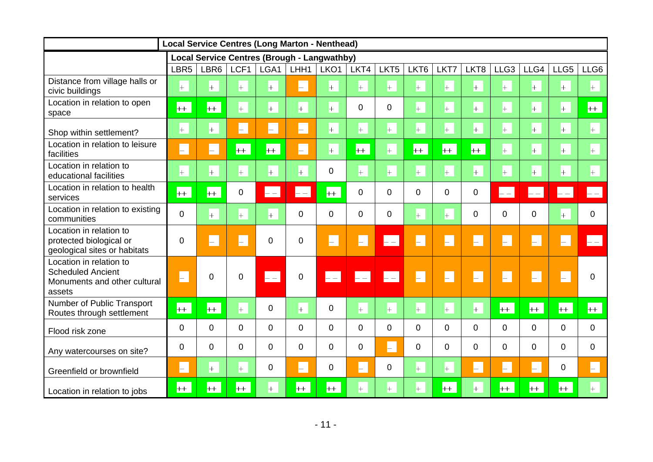|                                                                                               | <b>Local Service Centres (Long Marton - Nenthead)</b> |                    |                    |                            |                            |                                                    |                      |                   |                  |                |                    |                      |          |                                               |                             |
|-----------------------------------------------------------------------------------------------|-------------------------------------------------------|--------------------|--------------------|----------------------------|----------------------------|----------------------------------------------------|----------------------|-------------------|------------------|----------------|--------------------|----------------------|----------|-----------------------------------------------|-----------------------------|
|                                                                                               |                                                       |                    |                    |                            |                            | <b>Local Service Centres (Brough - Langwathby)</b> |                      |                   |                  |                |                    |                      |          |                                               |                             |
|                                                                                               | LBR <sub>5</sub>                                      | LBR <sub>6</sub>   | LCF1               | LGA1                       | LHH1                       | LKO <sub>1</sub>                                   | LKT4                 | LKT <sub>5</sub>  | LKT <sub>6</sub> | LKT7           | LKT8               | LLG <sub>3</sub>     | LLG4     | LLG5                                          | LLG6                        |
| Distance from village halls or<br>civic buildings                                             | $+$                                                   | $+$                | $+$                | $+$                        | $\vdash$                   | $+$                                                | $+$                  | $+$               | $+$              | $+$            | $+$                | $+$                  | $+$      | $+$                                           | $+$                         |
| Location in relation to open<br>space                                                         | $++$                                                  | $+$                | $+$                | $+$                        | $+$                        | $+$                                                | $\Omega$             | $\mathbf 0$       | $+$              | $+$            | $+$                | $+$                  | $+$      | $+$                                           | $+$                         |
| Shop within settlement?                                                                       | $+$                                                   | $+$                | $\vdash$           | $\vdash$                   | F                          | $+$                                                | $+$                  | $+$               | $+$              | $+$            | $\left  + \right $ | $+$                  | $+$      | $+$                                           | $+$                         |
| Location in relation to leisure<br>facilities                                                 | H                                                     | H                  | $+$                | $+$                        | F                          | $+$                                                | $+$                  | $+$               | $+$              | $+$            | $+$                | $+$                  | $+$      | $+$                                           | $+$                         |
| Location in relation to<br>educational facilities                                             | $+$                                                   | $\left  + \right $ | $+$                | $+$                        | $+$                        | 0                                                  | $+$                  | $+$               | $+$              | $+$            | $\left  + \right $ | $+$                  | $+$      | $+$                                           | $+$                         |
| Location in relation to health<br>services                                                    | $+$                                                   | $+$                | 0                  | $\left\vert --\right\vert$ | $\left\vert --\right\vert$ | $+$                                                | $\mathbf 0$          | $\mathbf 0$       | $\overline{0}$   | 0              | 0                  | $\left  - - \right $ | $- -$    | $\mathord{\hspace{1pt}\text{--}\hspace{1pt}}$ | $-$                         |
| Location in relation to existing<br>communities                                               | $\mathbf 0$                                           | $+$                | $+$                | $+$                        | 0                          | 0                                                  | $\mathbf 0$          | $\mathbf 0$       | $+$              | $+$            | 0                  | 0                    | 0        | $+$                                           | $\mathbf 0$                 |
| Location in relation to<br>protected biological or<br>geological sites or habitats            | $\mathbf 0$                                           | H                  | $\left  - \right $ | 0                          | 0                          | F                                                  | $\vdash$             | $\vdash$ $\vdash$ | L.               | H.             | H.                 | $\vdash$             | $\vdash$ | $\vdash$                                      | $\mathsf{L}$ – $\mathsf{l}$ |
| Location in relation to<br><b>Scheduled Ancient</b><br>Monuments and other cultural<br>assets | $\vdash$                                              | $\mathbf 0$        | 0                  | $\vert - \vert$            | 0                          | $\left  -\right $                                  | $\left  - - \right $ | $\mathbf{L}$      | H.               | H.             | H.                 | L.                   | $\vdash$ | $\vdash$                                      | $\overline{0}$              |
| Number of Public Transport<br>Routes through settlement                                       | $++$                                                  | $+$                | $+$                | 0                          | $+$                        | 0                                                  | $\left  + \right $   | $+$               | $+$              | $+$            | $+$                | $++$                 | $+$      | $++$                                          | $+$                         |
| Flood risk zone                                                                               | $\mathbf 0$                                           | $\mathbf 0$        | 0                  | 0                          | 0                          | 0                                                  | $\Omega$             | $\mathbf 0$       | $\overline{0}$   | $\overline{0}$ | 0                  | $\overline{0}$       | 0        | $\overline{0}$                                | $\mathbf{0}$                |
| Any watercourses on site?                                                                     | $\mathbf 0$                                           | $\overline{0}$     | 0                  | 0                          | 0                          | 0                                                  | $\overline{0}$       | $\vdash$          | $\overline{0}$   | 0              | 0                  | 0                    | 0        | $\Omega$                                      | $\mathbf{0}$                |
| Greenfield or brownfield                                                                      | $\vdash$                                              | $+$                | $+$                | 0                          | $\vdash$                   | 0                                                  | ⊢.                   | $\mathbf 0$       | $+$              | $+$            | H                  | $\vdash$             | ⊢        | $\overline{0}$                                | $\vdash$                    |
| Location in relation to jobs                                                                  | $++$                                                  | $++$               | $+$                | $+$                        | $++$                       | $++$                                               | $+$                  | $+$               | $+$              | $+$            | $+$                | $++$                 | $+$      | $++$                                          | $+$                         |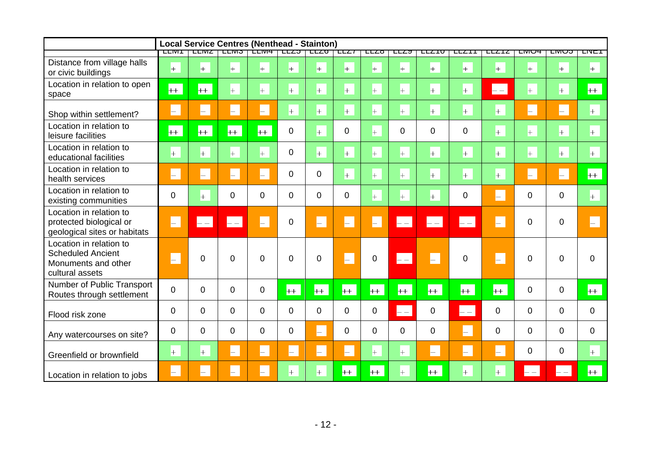|                                                                                               |          |                          | <b>Local Service Centres (Nenthead - Stainton)</b> |                    |                    |                |             |                    |                      |                      |                |               |                |                |                |
|-----------------------------------------------------------------------------------------------|----------|--------------------------|----------------------------------------------------|--------------------|--------------------|----------------|-------------|--------------------|----------------------|----------------------|----------------|---------------|----------------|----------------|----------------|
|                                                                                               | LLIVI I  |                          | LLIVIZ   LLIVIJ   LLIVI <del>4</del>               |                    |                    | LLZJ LLZU      | 7557        | ℡                  | ⊏⊏∠੦                 | ᄄᅎ                   | ᄄᄼ             | ᄄᄯ            | பய⊖ச           | ᠊ᡄᠬᡡᠣ          | ਸ਼ਾਸ           |
| Distance from village halls<br>or civic buildings                                             | $+$      | $+$                      | $+$                                                | $\left  + \right $ | $+$                | $+$            | $+$         | $+$                | $+$                  | $+$                  | $+$            | $+$           | $+$            | $+$            | $+$            |
| Location in relation to open<br>space                                                         | $+$      | $+$                      | $+$                                                | $+$                | $+$                | $+$            | $+$         | $+$                | $+$                  | $+$                  | $+$            | $\mathbf{--}$ | $+$            | $+$            | $+$            |
| Shop within settlement?                                                                       | $\vdash$ | $\vdash$                 | H.                                                 | H.                 | $\left  + \right $ | $+$            | $+$         | $+$                | $+$                  | $+$                  | $+$            | $+$           | H.             | $\vdash$       | $+$            |
| Location in relation to<br>leisure facilities                                                 | $+$      | $+$                      | $+$                                                | $+$                | $\overline{0}$     | $+$            | $\mathbf 0$ | $+$                | $\overline{0}$       | $\overline{0}$       | $\overline{0}$ | $+$           | $+$            | $+$            | $+$            |
| Location in relation to<br>educational facilities                                             | $+$      | $+$                      | $+$                                                | $+$                | $\Omega$           | $+$            | $+$         | $\left  + \right $ | $+$                  | $+$                  | $+$            | $+$           | $+$            | $+$            | $+$            |
| Location in relation to<br>health services                                                    | $\vdash$ | $\vdash$                 | $\vdash$                                           | $\vdash$           | $\mathbf 0$        | $\pmb{0}$      | $+$         | $+$                | $+$                  | $+$                  | $+$            | $+$           | H.             | H.             | $+$            |
| Location in relation to<br>existing communities                                               | 0        | $+$                      | 0                                                  | $\mathbf{0}$       | $\overline{0}$     | $\mathbf 0$    | 0           | $+$                | $+$                  | $+$                  | $\mathbf 0$    | H             | 0              | $\overline{0}$ | $+$            |
| Location in relation to<br>protected biological or<br>geological sites or habitats            | $\vdash$ | $\overline{\phantom{a}}$ | $=$ $-$                                            | -                  | $\mathbf 0$        | H              | H.          | $\vdash$           | $\left  - - \right $ | $\left  - - \right $ | $\mathsf{L}$   | H.            | $\mathbf 0$    | $\overline{0}$ |                |
| Location in relation to<br><b>Scheduled Ancient</b><br>Monuments and other<br>cultural assets | H        | 0                        | 0                                                  | $\Omega$           | 0                  | $\overline{0}$ | H.          | $\mathbf 0$        | $\left  - - \right $ | $\vdash$             | $\overline{0}$ | $\vdash$      | $\overline{0}$ | $\overline{0}$ | $\overline{0}$ |
| Number of Public Transport<br>Routes through settlement                                       | 0        | $\Omega$                 | $\overline{0}$                                     | 0                  | $++$               | $+$            | $++$        | $+$                | $+$                  | $+$                  | $+$            | $+$           | $\mathbf 0$    | $\mathbf 0$    | $+$            |
| Flood risk zone                                                                               | 0        | 0                        | 0                                                  | $\mathbf 0$        | $\overline{0}$     | $\mathbf 0$    | $\mathbf 0$ | $\mathbf 0$        | $\left  - - \right $ | $\mathbf 0$          | $\vdash$       | 0             | $\mathbf 0$    | $\mathbf 0$    | $\overline{0}$ |
| Any watercourses on site?                                                                     | 0        | 0                        | $\overline{0}$                                     | $\overline{0}$     | $\mathbf 0$        | H              | $\mathbf 0$ | $\mathbf 0$        | $\overline{0}$       | $\mathbf 0$          | $\vdash$       | 0             | $\mathbf 0$    | $\mathbf 0$    | 0              |
| Greenfield or brownfield                                                                      | $+$      | $+$                      | H.                                                 | H.                 | $\vdash$           | $\vdash$       | $\vdash$    | $+$                | $+$                  | $\vdash$             | $\vdash$       | $\vdash$      | $\mathbf 0$    | $\overline{0}$ | $+$            |
| Location in relation to jobs                                                                  | H.       | -                        | -                                                  | -                  | $+$                | $+$            | $+$         | $+$                | $+$                  | $++$                 | $+$            | $+$           | $- -$          |                | $+$            |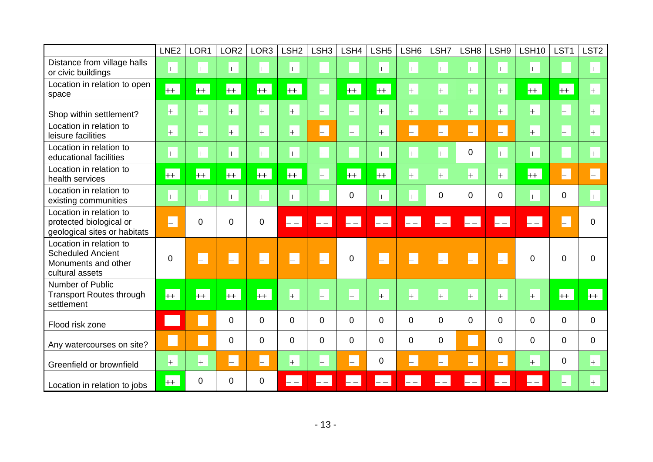|                                                                                               | LNE <sub>2</sub>                              | LOR <sub>1</sub> | LOR <sub>2</sub> | LOR3     | LSH <sub>2</sub>   | LSH <sub>3</sub> | LSH4            | LSH <sub>5</sub> | LSH <sub>6</sub> | LSH7                 | LSH <sub>8</sub>     | LSH9        | <b>LSH10</b>   | LST <sub>1</sub> | LST <sub>2</sub>   |
|-----------------------------------------------------------------------------------------------|-----------------------------------------------|------------------|------------------|----------|--------------------|------------------|-----------------|------------------|------------------|----------------------|----------------------|-------------|----------------|------------------|--------------------|
| Distance from village halls<br>or civic buildings                                             | $\left  + \right $                            | $+$              | $+$              | $+$      | $+$                | $+$              | $+$             | $+$              | $+$              | $+$                  | $\left  + \right $   | $+$         | $+$            | $+$              | $+$                |
| Location in relation to open<br>space                                                         | $++$                                          | $+$              | $++$             | $+$      | $+$                | $+$              | $+$             | $+$              | $+$              | $+$                  | $+$                  | $+$         | $+$            | $++$             | $\left  + \right $ |
| Shop within settlement?                                                                       | $+$                                           | $+$              | $+$              | $+$      | $+$                | $+$              | $+$             | $+$              | $+$              | $+$                  | $\left  + \right $   | $+$         | $+$            | $+$              | $+$                |
| Location in relation to<br>leisure facilities                                                 | $+$                                           | $+$              | $+$              | $+$      | $+$                | $\vdash$         | $+$             | $+$              | $\vdash$         | $\vdash$             | $\vdash$             | $\vdash$    | $+$            | $+$              | $+$                |
| Location in relation to<br>educational facilities                                             | $+$                                           | $+$              | $+$              | $+$      | $+$                | $+$              | $+$             | $+$              | $+$              | $+$                  | $\mathbf 0$          | $+$         | $+$            | $+$              | $+$                |
| Location in relation to<br>health services                                                    | $+$                                           | $+$              | $+$              | $+$      | $+$                | $+$              | $+$             | $+$              | $+$              | $+$                  | $+$                  | $+$         | $+$            | $\vdash$         | H.                 |
| Location in relation to<br>existing communities                                               | $+$                                           | $+$              | $+$              | $\pm$    | $+$                | $+$              | 0               | $+$              | $+$              | $\mathbf 0$          | $\Omega$             | 0           | $+$            | $\mathbf 0$      | $+$                |
| Location in relation to<br>protected biological or<br>geological sites or habitats            | $\vdash$                                      | $\overline{0}$   | $\overline{0}$   | 0        | $- -$              | $- -$            | $\overline{ -}$ | $- -$            | $- -$            | $\left  - - \right $ | $\left  - - \right $ | $- -$       |                |                  | $\overline{0}$     |
| Location in relation to<br><b>Scheduled Ancient</b><br>Monuments and other<br>cultural assets | $\overline{0}$                                | $\vdash$         | $\vdash$         | H.       | $\vdash$           | H                | $\overline{0}$  | H                | H                | H.                   | H                    | H           | $\Omega$       | $\Omega$         | $\mathbf{0}$       |
| Number of Public<br><b>Transport Routes through</b><br>settlement                             | $++$                                          | $+$              | $+$              | $+$      | $\left  + \right $ | $+$              | $+$             | $+$              | $+$              | $+$                  | $+$                  | $+$         | $+$            | $++$             | $+$                |
| Flood risk zone                                                                               | $\mathord{\hspace{1pt}\text{--}\hspace{1pt}}$ | H                | $\Omega$         | $\Omega$ | $\Omega$           | $\Omega$         | $\Omega$        | $\Omega$         | $\Omega$         | $\mathbf 0$          | $\Omega$             | $\mathbf 0$ | $\Omega$       | $\Omega$         | $\Omega$           |
| Any watercourses on site?                                                                     | $\vdash$                                      | $\vdash$         | $\overline{0}$   | 0        | 0                  | $\overline{0}$   | $\overline{0}$  | $\overline{0}$   | 0                | $\mathbf 0$          | $\vdash$             | $\mathbf 0$ | $\overline{0}$ | $\Omega$         | $\overline{0}$     |
| Greenfield or brownfield                                                                      | $\left  + \right $                            | $+$              | $\vdash$         | $\vdash$ | $\left  + \right $ | $+$              | $\vdash$        | $\Omega$         | H                | $\vdash$             | $\vdash$             | H.          | $+$            | $\mathbf 0$      | $+$                |
| Location in relation to jobs                                                                  | $++$                                          | $\Omega$         | $\Omega$         | $\Omega$ | $- -$              |                  |                 |                  |                  |                      |                      |             |                | $+$              | $+$                |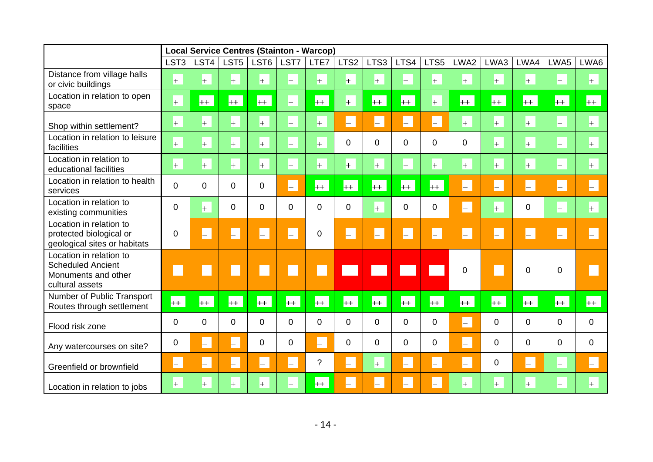|                                                                                               |                    |             |                                      |          | <b>Local Service Centres (Stainton - Warcop)</b> |                    |                                                   |                          |                          |                          |                    |          |                    |                |                    |
|-----------------------------------------------------------------------------------------------|--------------------|-------------|--------------------------------------|----------|--------------------------------------------------|--------------------|---------------------------------------------------|--------------------------|--------------------------|--------------------------|--------------------|----------|--------------------|----------------|--------------------|
|                                                                                               | LST <sub>3</sub>   | LST4        | LST <sub>5</sub>                     | LST6     | LST7                                             | LTE7               | LTS <sub>2</sub>                                  | LTS <sub>3</sub>         | LTS4                     | LTS5                     | LWA2               | LWA3     | LWA4               | LWA5           | LWA6               |
| Distance from village halls<br>or civic buildings                                             | $\left  + \right $ | $+$         | $+$                                  | $+$      | $\left  + \right $                               | $\left  + \right $ | $+$                                               | $+$                      | $\left  + \right $       | $\left  + \right $       | $\left  + \right $ | $+$      | $+$                | $+$            | $\left  + \right $ |
| Location in relation to open<br>space                                                         | $+$                | $+$         | $++$                                 | $+$      | $+$                                              | $+$                | $\left  + \right $                                | $+$                      | $+$                      | $\left  + \right $       | $+$                | $+$      | $+$                | $+$            | $+$                |
| Shop within settlement?                                                                       | $\left  + \right $ | $+$         | $+$                                  | $+$      | $+$                                              | $\left  + \right $ | H                                                 | $\vdash$                 | ⊢.                       | H.                       | $\left  + \right $ | $+$      | $+$                | $+$            | $\left  + \right $ |
| Location in relation to leisure<br>facilities                                                 | $+$                | $+$         | $+$                                  | $+$      | $+$                                              | $+$                | $\mathbf 0$                                       | 0                        | 0                        | $\overline{0}$           | $\overline{0}$     | $+$      | $+$                | $+$            | $+$                |
| Location in relation to<br>educational facilities                                             | $+$                | $+$         | $+$                                  | $+$      | $\left  + \right $                               | $+$                | $+$                                               | $+$                      | $+$                      | $\left  + \right $       | $\left  + \right $ | $+$      | $+$                | $+$            | $+$                |
| Location in relation to health<br>services                                                    | 0                  | $\mathbf 0$ | 0                                    | 0        | H                                                | $+$                | $+$                                               | $+$                      | $+$                      | $+$                      | H.                 | $\vdash$ | E.                 | H              | F                  |
| Location in relation to<br>existing communities                                               | 0                  | $+$         | 0                                    | $\Omega$ | $\Omega$                                         | $\overline{0}$     | $\mathbf 0$                                       | $+$                      | $\mathbf 0$              | $\overline{0}$           | H.                 | $+$      | 0                  | $+$            | $+$                |
| Location in relation to<br>protected biological or<br>geological sites or habitats            | 0                  | H.          | L.                                   | $\vdash$ | H                                                | $\overline{0}$     | H                                                 | $\overline{\phantom{0}}$ | $\vdash$                 | H.                       | H.                 | H.       | $\vdash$           | H              | $\vdash$           |
| Location in relation to<br><b>Scheduled Ancient</b><br>Monuments and other<br>cultural assets | H                  | H           | Ē                                    | H        | H                                                | F                  | $\overline{\phantom{a}}$ $\overline{\phantom{a}}$ | $\vert - \vert$          | $\left  - - \right $     | $\overline{\phantom{a}}$ | $\overline{0}$     | $\vdash$ | 0                  | $\overline{0}$ |                    |
| Number of Public Transport<br>Routes through settlement                                       | $+$                | $+$         | $+$                                  | $+$      | $+$                                              | $+$                | $+$                                               | $+$                      | $+$                      | $+$                      | $+$                | $+$      | $+$                | $++$           | $+$                |
| Flood risk zone                                                                               | 0                  | $\mathbf 0$ | 0                                    | 0        | $\mathbf 0$                                      | $\mathbf 0$        | $\mathbf 0$                                       | 0                        | $\mathbf 0$              | 0                        | $\vdash$           | 0        | 0                  | $\mathbf 0$    | 0                  |
| Any watercourses on site?                                                                     | 0                  | H.          | E.                                   | 0        | $\mathbf 0$                                      | L.                 | $\mathbf 0$                                       | 0                        | 0                        | $\overline{0}$           | H.                 | 0        | 0                  | $\mathbf 0$    | $\overline{0}$     |
| Greenfield or brownfield                                                                      | $\vdash$           | H           | $\left  \rule{0.2cm}{0.4cm} \right $ | $\vdash$ | $\vdash$                                         | $\overline{?}$     | $\vdash$                                          | $+$                      | H.                       | $\vdash$                 | H.                 | 0        | $\left  - \right $ | $+$            | $\vdash$           |
| Location in relation to jobs                                                                  | $+$                | $^{+}$      | $^{+}$                               | $+$      | $+$                                              | $++$               | $\vdash$                                          | $\overline{\phantom{0}}$ | $\overline{\phantom{0}}$ | $\vdash$                 | $+$                | $+$      | $+$                | $+$            | $+$                |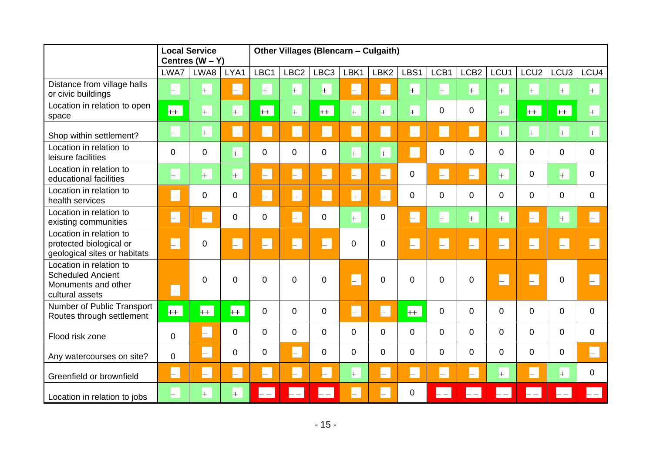|                                                                                               | <b>Local Service</b><br>Centres $(W - Y)$ |             |                | Other Villages (Blencarn - Culgaith) |                  |                    |                    |                  |                    |                    |                    |                    |                    |                  |                    |  |  |
|-----------------------------------------------------------------------------------------------|-------------------------------------------|-------------|----------------|--------------------------------------|------------------|--------------------|--------------------|------------------|--------------------|--------------------|--------------------|--------------------|--------------------|------------------|--------------------|--|--|
|                                                                                               | LWA7                                      | LWA8        | LYA1           | LBC1                                 | LBC <sub>2</sub> | LBC <sub>3</sub>   | LBK1               | LBK <sub>2</sub> | LBS1               | LCB1               | LCB <sub>2</sub>   | LCU1               | LCU <sub>2</sub>   | LCU <sub>3</sub> | LCU4               |  |  |
| Distance from village halls<br>or civic buildings                                             | $+$                                       | $+$         | H              | $+$                                  | $+$              | $\left  + \right $ | $\vdash$           | $\vdash$         | $\left  + \right $ | $\left  + \right $ | $\left  + \right $ | $\left  + \right $ | $\left  + \right $ | $+$              | $\left  + \right $ |  |  |
| Location in relation to open<br>space                                                         | $+$                                       | $+$         | $+$            | $+$                                  | $+$              | $+$                | $+$                | $+$              | $+$                | $\overline{0}$     | 0                  | $+$                | $+$                | $+$              | $\left  + \right $ |  |  |
| Shop within settlement?                                                                       | $+$                                       | $+$         | $\vdash$       | $\vdash$                             | $\vdash$         | H.                 | $\left  - \right $ | $\vdash$         | $\vdash$           | $\vdash$           | $\vdash$           | $+$                | $+$                | $+$              | $+$                |  |  |
| Location in relation to<br>leisure facilities                                                 | $\overline{0}$                            | $\mathbf 0$ | $+$            | $\mathbf 0$                          | $\overline{0}$   | $\mathbf 0$        | $+$                | $+$              | H.                 | $\Omega$           | $\Omega$           | $\Omega$           | $\Omega$           | $\Omega$         | $\Omega$           |  |  |
| Location in relation to<br>educational facilities                                             | $+$                                       | $+$         | $+$            | H.                                   | $\vdash$         | H.                 | $\vdash$           | $\vdash$         | 0                  | $\vdash$           | $\vdash$           | $\left  + \right $ | $\mathbf 0$        | $+$              | $\Omega$           |  |  |
| Location in relation to<br>health services                                                    | H                                         | $\Omega$    | 0              | H.                                   | H                | H.                 | $\vdash$           | H.               | $\Omega$           | $\Omega$           | $\Omega$           | $\Omega$           | $\Omega$           | $\Omega$         | $\Omega$           |  |  |
| Location in relation to<br>existing communities                                               | H.                                        | H.          | 0              | $\mathbf 0$                          | $\Box$           | $\mathbf 0$        | $+$                | $\overline{0}$   | $\vdash$           | $+$                | $\left  + \right $ | $\left  + \right $ | $\vdash$           | $+$              | $\vdash$           |  |  |
| Location in relation to<br>protected biological or<br>geological sites or habitats            | H                                         | 0           | $\vdash$       | $\vdash$                             | H                | H.                 | 0                  | $\Omega$         |                    | H                  | H                  | H                  | H                  | H                |                    |  |  |
| Location in relation to<br><b>Scheduled Ancient</b><br>Monuments and other<br>cultural assets | H.                                        | $\Omega$    | $\overline{0}$ | $\Omega$                             | $\Omega$         | $\Omega$           |                    | $\Omega$         | $\Omega$           | $\Omega$           | $\Omega$           | H                  | H                  | $\Omega$         |                    |  |  |
| Number of Public Transport<br>Routes through settlement                                       | $+$                                       | $+$         | $+$            | $\mathbf 0$                          | $\overline{0}$   | $\mathbf 0$        | $\vdash$           | H.               | $+$                | $\overline{0}$     | $\overline{0}$     | $\mathbf 0$        | $\Omega$           | $\overline{0}$   | $\mathbf 0$        |  |  |
| Flood risk zone                                                                               | 0                                         | $\vdash$    | 0              | $\mathbf 0$                          | $\overline{0}$   | $\mathbf 0$        | 0                  | $\overline{0}$   | 0                  | $\mathbf 0$        | $\overline{0}$     | $\mathbf 0$        | $\mathbf 0$        | $\overline{0}$   | $\mathbf 0$        |  |  |
| Any watercourses on site?                                                                     | 0                                         | L.          | 0              | $\mathbf 0$                          | $\mathsf{L}$     | $\mathbf 0$        | 0                  | $\overline{0}$   | 0                  | $\overline{0}$     | $\overline{0}$     | $\overline{0}$     | $\overline{0}$     | $\overline{0}$   | $\vdash$           |  |  |
| Greenfield or brownfield                                                                      | $\vdash$                                  | $\vdash$    | $\vdash$       | $\vdash$                             | H.               | $\vdash$           | $+$                | $\vdash$         | H.                 | H.                 | $\vdash$           | $+$                | $\vdash$           | $+$              | $\Omega$           |  |  |
| Location in relation to jobs                                                                  | $+$                                       | $+$         | $+$            | $- -$                                |                  |                    |                    | -                | 0                  | $- -$              |                    |                    |                    |                  |                    |  |  |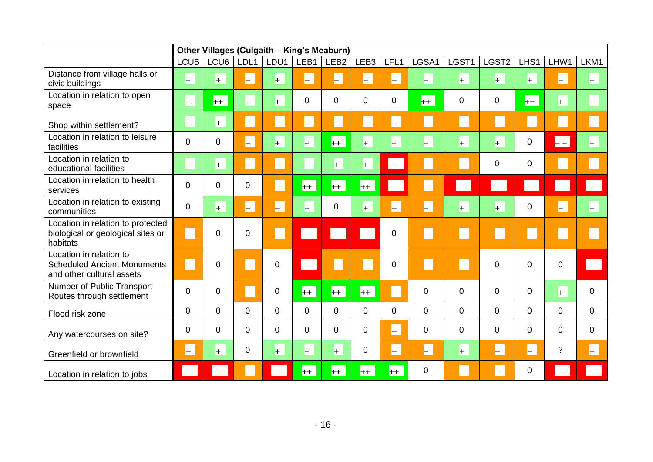|                                                                                            | Other Villages (Culgaith - King's Meaburn) |       |                          |                    |                      |                    |                  |                                                                                             |                    |                                      |                      |                      |                      |                 |
|--------------------------------------------------------------------------------------------|--------------------------------------------|-------|--------------------------|--------------------|----------------------|--------------------|------------------|---------------------------------------------------------------------------------------------|--------------------|--------------------------------------|----------------------|----------------------|----------------------|-----------------|
|                                                                                            | LCU <sub>5</sub>                           | LCU6  | LDL1                     | LDU1               | LEB1                 | LEB <sub>2</sub>   | LEB <sub>3</sub> | LFL1                                                                                        | LGSA1              | LGST1                                | LGST2                | LHS1                 | LHW1                 | LKM1            |
| Distance from village halls or<br>civic buildings                                          | $^{+}$                                     | $+$   | $\vdash$                 | $+$                | $\vdash$             | H.                 | $\vdash$         | $\vdash$                                                                                    | $+$                | $+$                                  | $+$                  | $+$                  | $\vdash$             | $+$             |
| Location in relation to open<br>space                                                      | $+$                                        | $+$   | $+$                      | $+$                | $\overline{0}$       | $\Omega$           | 0                | 0                                                                                           | $+$                | 0                                    | 0                    | $+$                  | $+$                  | $+$             |
| Shop within settlement?                                                                    | $+$                                        | $+$   | $\vdash$                 | H.                 | $\vdash$             | H                  | H                | H                                                                                           | $\vdash$           | $\vdash$                             | $\vdash$             | $\vdash$             | $\vdash$             | $\vdash$        |
| Location in relation to leisure<br>facilities                                              | 0                                          | 0     | $\vdash$                 | $+$                | $\left  + \right $   | $+$                | $+$              | $+$                                                                                         | $\left  + \right $ | $+$                                  | $+$                  | $\mathbf 0$          | $ -$                 | $+$             |
| Location in relation to<br>educational facilities                                          | $+$                                        | $+$   | $\vdash$                 | $\vdash$           | $+$                  | $\left  + \right $ | $+$              | $\mathord{\hspace{1pt}\text{--}\hspace{1pt}}$ $\mathord{\hspace{1pt}\text{--}\hspace{1pt}}$ | $\vdash$           | $\left  \rule{0.2cm}{0.4cm} \right $ | 0                    | 0                    | $\vdash$             | $\vdash$        |
| Location in relation to health<br>services                                                 | 0                                          | 0     | 0                        | $\vdash$           | $+$                  | $+$                | $+$              | $\mathbf{--}$                                                                               | $\vdash$           | $- -$                                | $\left  - - \right $ | $\left  - - \right $ | $\left  - - \right $ | $\vert - \vert$ |
| Location in relation to existing<br>communities                                            | 0                                          | $+$   | H.                       | $\vdash$           | $+$                  | $\Omega$           | $+$              | H                                                                                           | $\vdash$           | $+$                                  | $+$                  | 0                    | $\vdash$             | $+$             |
| Location in relation to protected<br>biological or geological sites or<br>habitats         | H.                                         | 0     | $\Omega$                 | H.                 | $\vdash$             | $\mathbf{L}$       | $\vdash$ $\lnot$ | 0                                                                                           | H.                 | $\vdash$                             | $\vdash$             | $\vdash$             | H.                   | $\vdash$        |
| Location in relation to<br><b>Scheduled Ancient Monuments</b><br>and other cultural assets | H.                                         | 0     | $\overline{\phantom{0}}$ | 0                  | $\left  - - \right $ | H.                 | H                | 0                                                                                           | H.                 | H.                                   | 0                    | $\mathbf 0$          | 0                    | $-1$            |
| Number of Public Transport<br>Routes through settlement                                    | 0                                          | 0     | $\vdash$                 | 0                  | $+$                  | $+$                | $+$              | $\vdash$                                                                                    | $\Omega$           | $\Omega$                             | $\overline{0}$       | $\mathbf 0$          | $+$                  | $\Omega$        |
| Flood risk zone                                                                            | 0                                          | 0     | $\Omega$                 | $\Omega$           | $\Omega$             | $\Omega$           | $\overline{0}$   | 0                                                                                           | $\mathbf 0$        | $\overline{0}$                       | $\overline{0}$       | $\mathbf 0$          | $\mathbf 0$          | $\overline{0}$  |
| Any watercourses on site?                                                                  | 0                                          | 0     | 0                        | $\Omega$           | $\Omega$             | 0                  | $\overline{0}$   | H                                                                                           | 0                  | 0                                    | $\overline{0}$       | $\mathbf 0$          | 0                    | $\mathbf 0$     |
| Greenfield or brownfield                                                                   | H.                                         | $+$   | 0                        | $\left  + \right $ | $ + $                | $\left  + \right $ | $\pmb{0}$        | H                                                                                           | $\vdash$           | $+$                                  | $\vdash$             | H                    | $\tilde{?}$          | $\vdash$        |
| Location in relation to jobs                                                               | $ - - $                                    | $- -$ | $\overline{\phantom{0}}$ | $- -$              | $+$                  | $+$                | $+$              | $++$                                                                                        | 0                  | $\vdash$                             | H.                   | 0                    | $ -$                 |                 |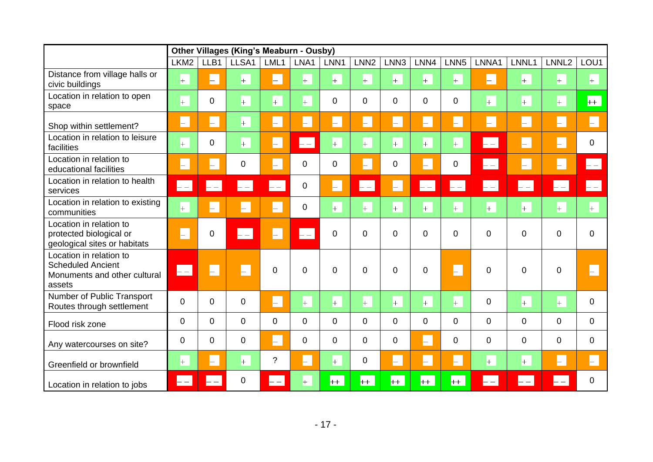|                                                                                               | Other Villages (King's Meaburn - Ousby) |                                      |                             |                      |                      |                    |                      |                |                      |                      |                             |                   |                   |                          |
|-----------------------------------------------------------------------------------------------|-----------------------------------------|--------------------------------------|-----------------------------|----------------------|----------------------|--------------------|----------------------|----------------|----------------------|----------------------|-----------------------------|-------------------|-------------------|--------------------------|
|                                                                                               | LKM <sub>2</sub>                        | LLB1                                 | LLSA1                       | LML1                 | LNA1                 | LNN1               | LNN <sub>2</sub>     | LNN3           | LNN4                 | LNN <sub>5</sub>     | LNNA1                       | LNNL1             | LNNL <sub>2</sub> | LOU1                     |
| Distance from village halls or<br>civic buildings                                             | $+$                                     | $\vdash$                             | $+$                         | $\vdash$             | $+$                  | $+$                | $+$                  | $+$            | $+$                  | $+$                  | $\vdash$                    | $+$               | $+$               | $+$                      |
| Location in relation to open<br>space                                                         | $\pm$                                   | $\mathbf 0$                          | $\pm$                       | $+$                  | $+$                  | $\mathbf 0$        | $\mathbf 0$          | $\mathbf 0$    | $\mathbf 0$          | $\mathbf 0$          | $+$                         | $+$               | $+$               | $+$                      |
| Shop within settlement?                                                                       | $\vdash$                                | H.                                   | $+$                         | H                    | $\vdash$             | $\vdash$           | $\vdash$             | $\vdash$       | $\vdash$             | H.                   | $\vdash$                    | $\vdash$          | H.                | F                        |
| Location in relation to leisure<br>facilities                                                 | $\pm$                                   | $\mathbf 0$                          | $+$                         | H                    | $\left  - - \right $ | $\left  + \right $ | $+$                  | $+$            | $+$                  | $\left  + \right $   | $\left\vert -\right\vert -$ | $\vdash$          | H.                | $\mathbf 0$              |
| Location in relation to<br>educational facilities                                             | $\vdash$                                | $\Box$                               | 0                           | F                    | $\mathbf 0$          | $\mathbf 0$        | F                    | $\mathbf 0$    | F                    | $\mathbf 0$          | $\left  - - \right $        | $\vdash$          | H.                | $\left  - - \right $     |
| Location in relation to health<br>services                                                    | $\left  - - \right $                    | $\left  - - \right $                 | $\left  - - \right $        | $\left  - - \right $ | $\mathbf 0$          | H.                 | $\left  - - \right $ | L.             | $\left  - - \right $ | $\left  - - \right $ | $\left  - - \right $        | $\left  -\right $ | $\vdash$          | $\left  -\right $        |
| Location in relation to existing<br>communities                                               | $+$                                     | $\vdash$                             | $\left( \mathbb{R} \right)$ | H                    | $\mathbf 0$          | $+$                | $+$                  | $+$            | $+$                  | $+$                  | $+$                         | $+$               | $+$               | $\left  + \right $       |
| Location in relation to<br>protected biological or<br>geological sites or habitats            | $\vdash$                                | $\mathbf 0$                          | $- -$                       | H                    | $\vdash$             | $\overline{0}$     | $\overline{0}$       | $\overline{0}$ | $\overline{0}$       | $\overline{0}$       | 0                           | $\overline{0}$    | $\overline{0}$    | $\Omega$                 |
| Location in relation to<br><b>Scheduled Ancient</b><br>Monuments and other cultural<br>assets | $\vert - \vert$                         | $\vdash$                             | $\vdash$                    | 0                    | $\overline{0}$       | $\overline{0}$     | $\overline{0}$       | $\overline{0}$ | $\overline{0}$       | H                    | $\Omega$                    | $\overline{0}$    | $\overline{0}$    | $\overline{\phantom{0}}$ |
| Number of Public Transport<br>Routes through settlement                                       | 0                                       | $\mathbf 0$                          | 0                           | H                    | $+$                  | $+$                | $+$                  | $+$            | $+$                  | $+$                  | $\mathbf 0$                 | $+$               | $+$               | $\Omega$                 |
| Flood risk zone                                                                               | 0                                       | $\mathbf 0$                          | $\mathbf 0$                 | 0                    | $\overline{0}$       | $\mathbf 0$        | $\mathbf 0$          | $\mathbf 0$    | $\mathbf 0$          | $\mathbf 0$          | $\overline{0}$              | 0                 | $\mathbf 0$       | $\mathbf 0$              |
| Any watercourses on site?                                                                     | 0                                       | $\mathbf 0$                          | 0                           | H.                   | $\mathbf 0$          | $\mathbf 0$        | $\mathbf 0$          | $\mathbf 0$    | $\vdash$             | $\mathbf 0$          | $\overline{0}$              | 0                 | 0                 | $\mathbf 0$              |
| Greenfield or brownfield                                                                      | $+$                                     | $\left  \rule{0.2cm}{0.4cm} \right $ | $+$                         | $\gamma$             | $\vdash$             | $+$                | $\mathbf 0$          | $\vdash$       | $\vdash$             | $\vdash$             | $+$                         | $+$               | H.                | $\vdash$                 |
| Location in relation to jobs                                                                  | $\mathrel{{-}}$                         |                                      | $\Omega$                    | $\mathrel{{-}}$      | $+$                  | $++$               | $++$                 | $++$           | $++$                 | $++$                 | $- -$                       | $- -$             | $-$               | $\Omega$                 |